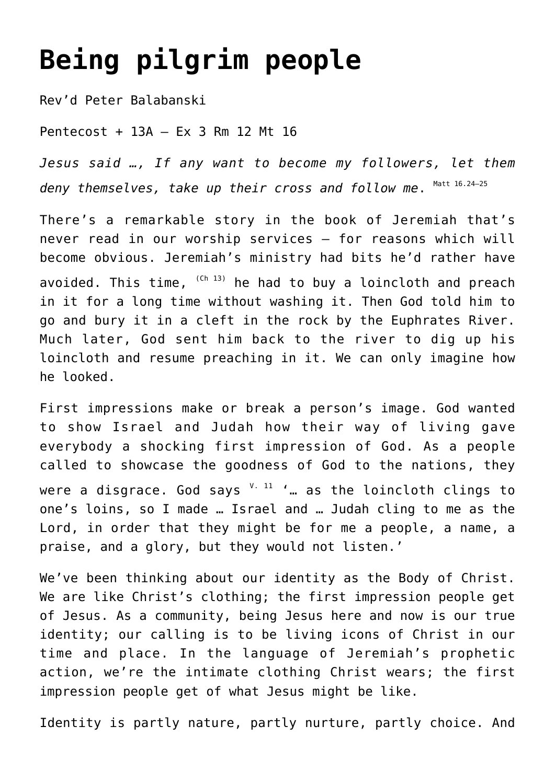## **[Being pilgrim people](http://stjohnsadelaide.org.au/being-pilgrim-people/)**

Rev'd Peter Balabanski

Pentecost + 13A – Ex 3 Rm 12 Mt 16

*Jesus said …, If any want to become my followers, let them* deny themselves, take up their cross and follow me.  $^{\text{\tiny{Matt 16.24-25}}}$ 

There's a remarkable story in the book of Jeremiah that's never read in our worship services – for reasons which will become obvious. Jeremiah's ministry had bits he'd rather have avoided. This time,  $(Ch I3)$  he had to buy a loincloth and preach in it for a long time without washing it. Then God told him to go and bury it in a cleft in the rock by the Euphrates River. Much later, God sent him back to the river to dig up his loincloth and resume preaching in it. We can only imagine how he looked.

First impressions make or break a person's image. God wanted to show Israel and Judah how their way of living gave everybody a shocking first impression of God. As a people called to showcase the goodness of God to the nations, they were a disgrace. God says  $V - 11$  '... as the loincloth clings to one's loins, so I made … Israel and … Judah cling to me as the Lord, in order that they might be for me a people, a name, a praise, and a glory, but they would not listen.'

We've been thinking about our identity as the Body of Christ. We are like Christ's clothing; the first impression people get of Jesus. As a community, being Jesus here and now is our true identity; our calling is to be living icons of Christ in our time and place. In the language of Jeremiah's prophetic action, we're the intimate clothing Christ wears; the first impression people get of what Jesus might be like.

Identity is partly nature, partly nurture, partly choice. And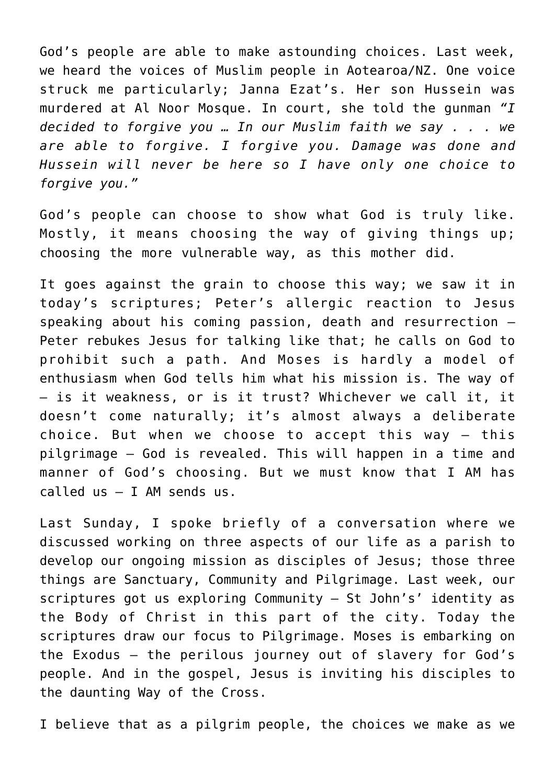God's people are able to make astounding choices. Last week, we heard the voices of Muslim people in Aotearoa/NZ. One voice struck me particularly; Janna Ezat's. Her son Hussein was murdered at Al Noor Mosque. In court, she told the gunman *"I decided to forgive you … In our Muslim faith we say . . . we are able to forgive. I forgive you. Damage was done and Hussein will never be here so I have only one choice to forgive you."*

God's people can choose to show what God is truly like. Mostly, it means choosing the way of giving things up; choosing the more vulnerable way, as this mother did.

It goes against the grain to choose this way; we saw it in today's scriptures; Peter's allergic reaction to Jesus speaking about his coming passion, death and resurrection – Peter rebukes Jesus for talking like that; he calls on God to prohibit such a path. And Moses is hardly a model of enthusiasm when God tells him what his mission is. The way of – is it weakness, or is it trust? Whichever we call it, it doesn't come naturally; it's almost always a deliberate choice. But when we choose to accept this way – this pilgrimage – God is revealed. This will happen in a time and manner of God's choosing. But we must know that I AM has called us – I AM sends us.

Last Sunday, I spoke briefly of a conversation where we discussed working on three aspects of our life as a parish to develop our ongoing mission as disciples of Jesus; those three things are Sanctuary, Community and Pilgrimage. Last week, our scriptures got us exploring Community – St John's' identity as the Body of Christ in this part of the city. Today the scriptures draw our focus to Pilgrimage. Moses is embarking on the Exodus – the perilous journey out of slavery for God's people. And in the gospel, Jesus is inviting his disciples to the daunting Way of the Cross.

I believe that as a pilgrim people, the choices we make as we